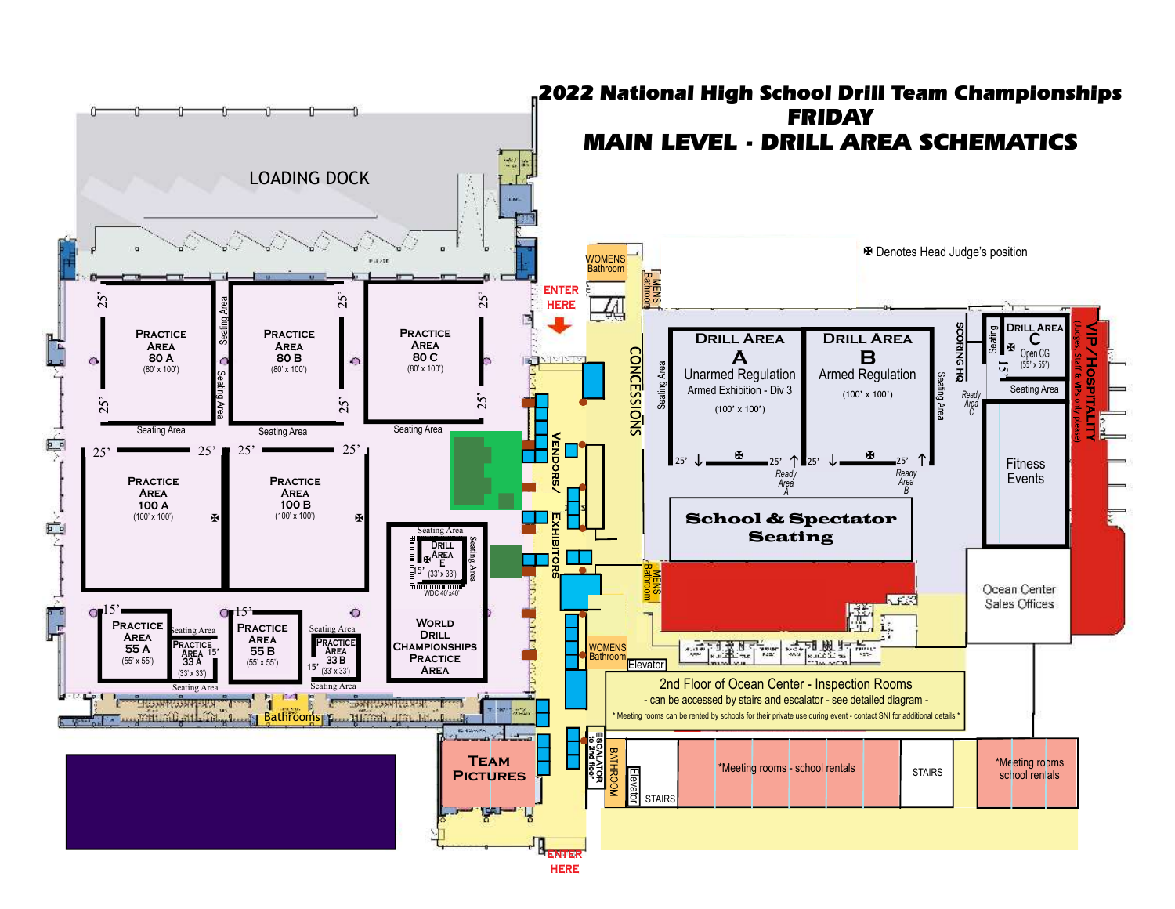